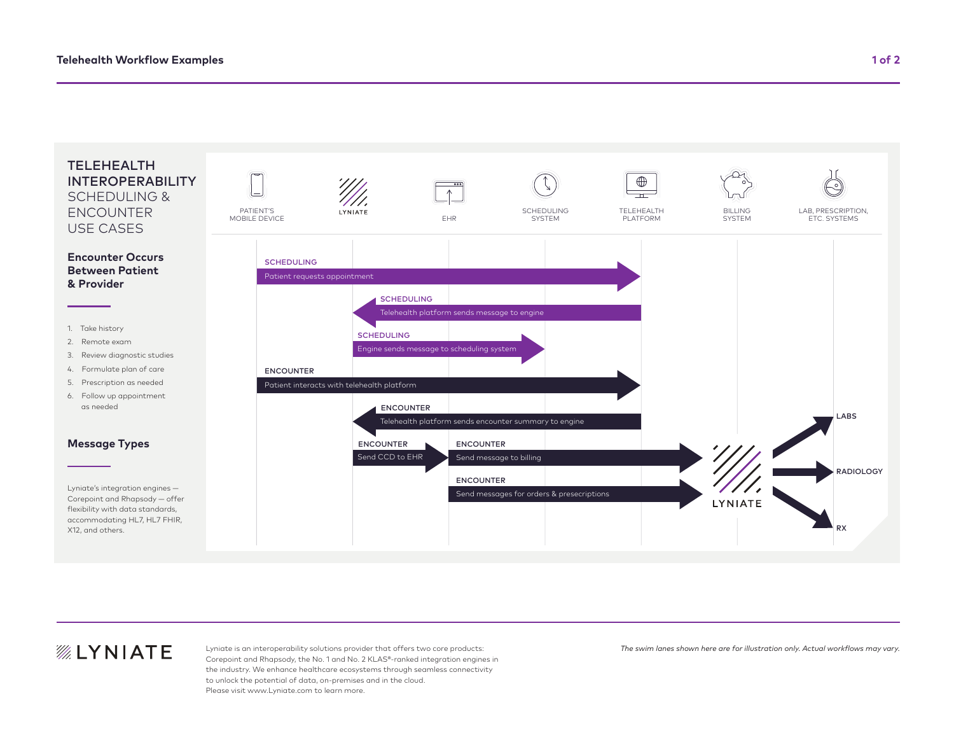

## *<b>WEYNIATE*

Lyniate is an interoperability solutions provider that offers two core products: Corepoint and Rhapsody, the No. 1 and No. 2 KLAS®-ranked integration engines in the industry. We enhance healthcare ecosystems through seamless connectivity to unlock the potential of data, on-premises and in the cloud. Please visit www.Lyniate.com to learn more.

*The swim lanes shown here are for illustration only. Actual workflows may vary.*